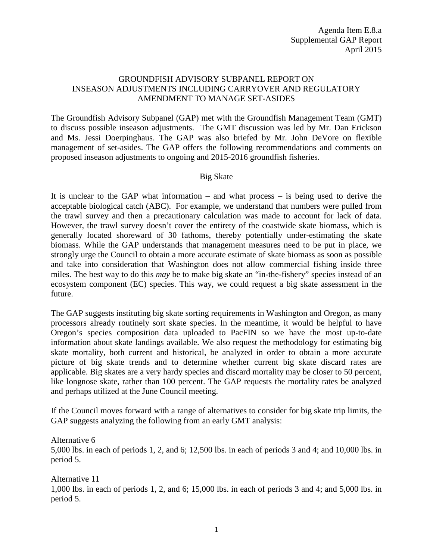## GROUNDFISH ADVISORY SUBPANEL REPORT ON INSEASON ADJUSTMENTS INCLUDING CARRYOVER AND REGULATORY AMENDMENT TO MANAGE SET-ASIDES

The Groundfish Advisory Subpanel (GAP) met with the Groundfish Management Team (GMT) to discuss possible inseason adjustments. The GMT discussion was led by Mr. Dan Erickson and Ms. Jessi Doerpinghaus. The GAP was also briefed by Mr. John DeVore on flexible management of set-asides. The GAP offers the following recommendations and comments on proposed inseason adjustments to ongoing and 2015-2016 groundfish fisheries.

#### Big Skate

It is unclear to the GAP what information – and what process – is being used to derive the acceptable biological catch (ABC). For example, we understand that numbers were pulled from the trawl survey and then a precautionary calculation was made to account for lack of data. However, the trawl survey doesn't cover the entirety of the coastwide skate biomass, which is generally located shoreward of 30 fathoms, thereby potentially under-estimating the skate biomass. While the GAP understands that management measures need to be put in place, we strongly urge the Council to obtain a more accurate estimate of skate biomass as soon as possible and take into consideration that Washington does not allow commercial fishing inside three miles. The best way to do this *may* be to make big skate an "in-the-fishery" species instead of an ecosystem component (EC) species. This way, we could request a big skate assessment in the future.

The GAP suggests instituting big skate sorting requirements in Washington and Oregon, as many processors already routinely sort skate species. In the meantime, it would be helpful to have Oregon's species composition data uploaded to PacFIN so we have the most up-to-date information about skate landings available. We also request the methodology for estimating big skate mortality, both current and historical, be analyzed in order to obtain a more accurate picture of big skate trends and to determine whether current big skate discard rates are applicable. Big skates are a very hardy species and discard mortality may be closer to 50 percent, like longnose skate, rather than 100 percent. The GAP requests the mortality rates be analyzed and perhaps utilized at the June Council meeting.

If the Council moves forward with a range of alternatives to consider for big skate trip limits, the GAP suggests analyzing the following from an early GMT analysis:

Alternative 6

5,000 lbs. in each of periods 1, 2, and 6; 12,500 lbs. in each of periods 3 and 4; and 10,000 lbs. in period 5.

Alternative 11

1,000 lbs. in each of periods 1, 2, and 6; 15,000 lbs. in each of periods 3 and 4; and 5,000 lbs. in period 5.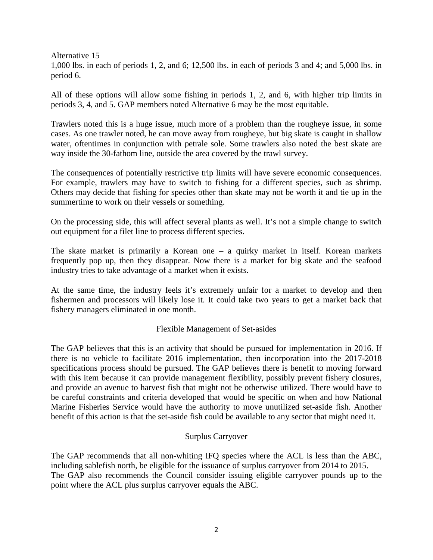Alternative 15

1,000 lbs. in each of periods 1, 2, and 6; 12,500 lbs. in each of periods 3 and 4; and 5,000 lbs. in period 6.

All of these options will allow some fishing in periods 1, 2, and 6, with higher trip limits in periods 3, 4, and 5. GAP members noted Alternative 6 may be the most equitable.

Trawlers noted this is a huge issue, much more of a problem than the rougheye issue, in some cases. As one trawler noted, he can move away from rougheye, but big skate is caught in shallow water, oftentimes in conjunction with petrale sole. Some trawlers also noted the best skate are way inside the 30-fathom line, outside the area covered by the trawl survey.

The consequences of potentially restrictive trip limits will have severe economic consequences. For example, trawlers may have to switch to fishing for a different species, such as shrimp. Others may decide that fishing for species other than skate may not be worth it and tie up in the summertime to work on their vessels or something.

On the processing side, this will affect several plants as well. It's not a simple change to switch out equipment for a filet line to process different species.

The skate market is primarily a Korean one – a quirky market in itself. Korean markets frequently pop up, then they disappear. Now there is a market for big skate and the seafood industry tries to take advantage of a market when it exists.

At the same time, the industry feels it's extremely unfair for a market to develop and then fishermen and processors will likely lose it. It could take two years to get a market back that fishery managers eliminated in one month.

#### Flexible Management of Set-asides

The GAP believes that this is an activity that should be pursued for implementation in 2016. If there is no vehicle to facilitate 2016 implementation, then incorporation into the 2017-2018 specifications process should be pursued. The GAP believes there is benefit to moving forward with this item because it can provide management flexibility, possibly prevent fishery closures, and provide an avenue to harvest fish that might not be otherwise utilized. There would have to be careful constraints and criteria developed that would be specific on when and how National Marine Fisheries Service would have the authority to move unutilized set-aside fish. Another benefit of this action is that the set-aside fish could be available to any sector that might need it.

#### Surplus Carryover

The GAP recommends that all non-whiting IFQ species where the ACL is less than the ABC, including sablefish north, be eligible for the issuance of surplus carryover from 2014 to 2015. The GAP also recommends the Council consider issuing eligible carryover pounds up to the point where the ACL plus surplus carryover equals the ABC.